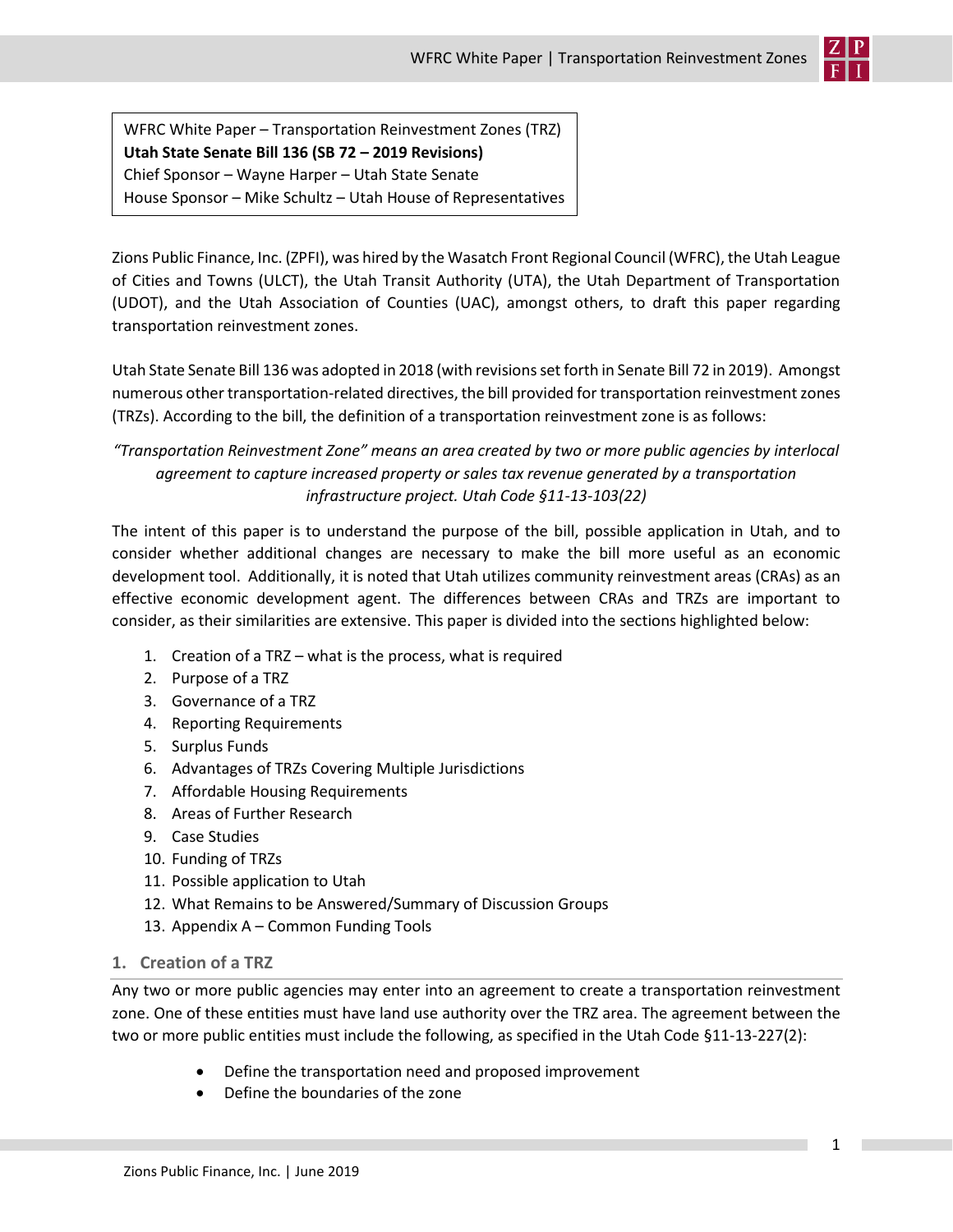

WFRC White Paper – Transportation Reinvestment Zones (TRZ) **Utah State Senate Bill 136 (SB 72 – 2019 Revisions)** Chief Sponsor – Wayne Harper – Utah State Senate House Sponsor – Mike Schultz – Utah House of Representatives

Zions Public Finance, Inc. (ZPFI), was hired by the Wasatch Front Regional Council (WFRC), the Utah League of Cities and Towns (ULCT), the Utah Transit Authority (UTA), the Utah Department of Transportation (UDOT), and the Utah Association of Counties (UAC), amongst others, to draft this paper regarding transportation reinvestment zones.

Utah State Senate Bill 136 was adopted in 2018 (with revisions set forth in Senate Bill 72 in 2019). Amongst numerous other transportation-related directives, the bill provided for transportation reinvestment zones (TRZs). According to the bill, the definition of a transportation reinvestment zone is as follows:

# *"Transportation Reinvestment Zone" means an area created by two or more public agencies by interlocal agreement to capture increased property or sales tax revenue generated by a transportation infrastructure project. Utah Code §11-13-103(22)*

The intent of this paper is to understand the purpose of the bill, possible application in Utah, and to consider whether additional changes are necessary to make the bill more useful as an economic development tool. Additionally, it is noted that Utah utilizes community reinvestment areas (CRAs) as an effective economic development agent. The differences between CRAs and TRZs are important to consider, as their similarities are extensive. This paper is divided into the sections highlighted below:

- 1. Creation of a TRZ what is the process, what is required
- 2. Purpose of a TRZ
- 3. Governance of a TRZ
- 4. Reporting Requirements
- 5. Surplus Funds
- 6. Advantages of TRZs Covering Multiple Jurisdictions
- 7. Affordable Housing Requirements
- 8. Areas of Further Research
- 9. Case Studies
- 10. Funding of TRZs
- 11. Possible application to Utah
- 12. What Remains to be Answered/Summary of Discussion Groups
- 13. Appendix A Common Funding Tools

# **1. Creation of a TRZ**

Any two or more public agencies may enter into an agreement to create a transportation reinvestment zone. One of these entities must have land use authority over the TRZ area. The agreement between the two or more public entities must include the following, as specified in the Utah Code §11-13-227(2):

- Define the transportation need and proposed improvement
- Define the boundaries of the zone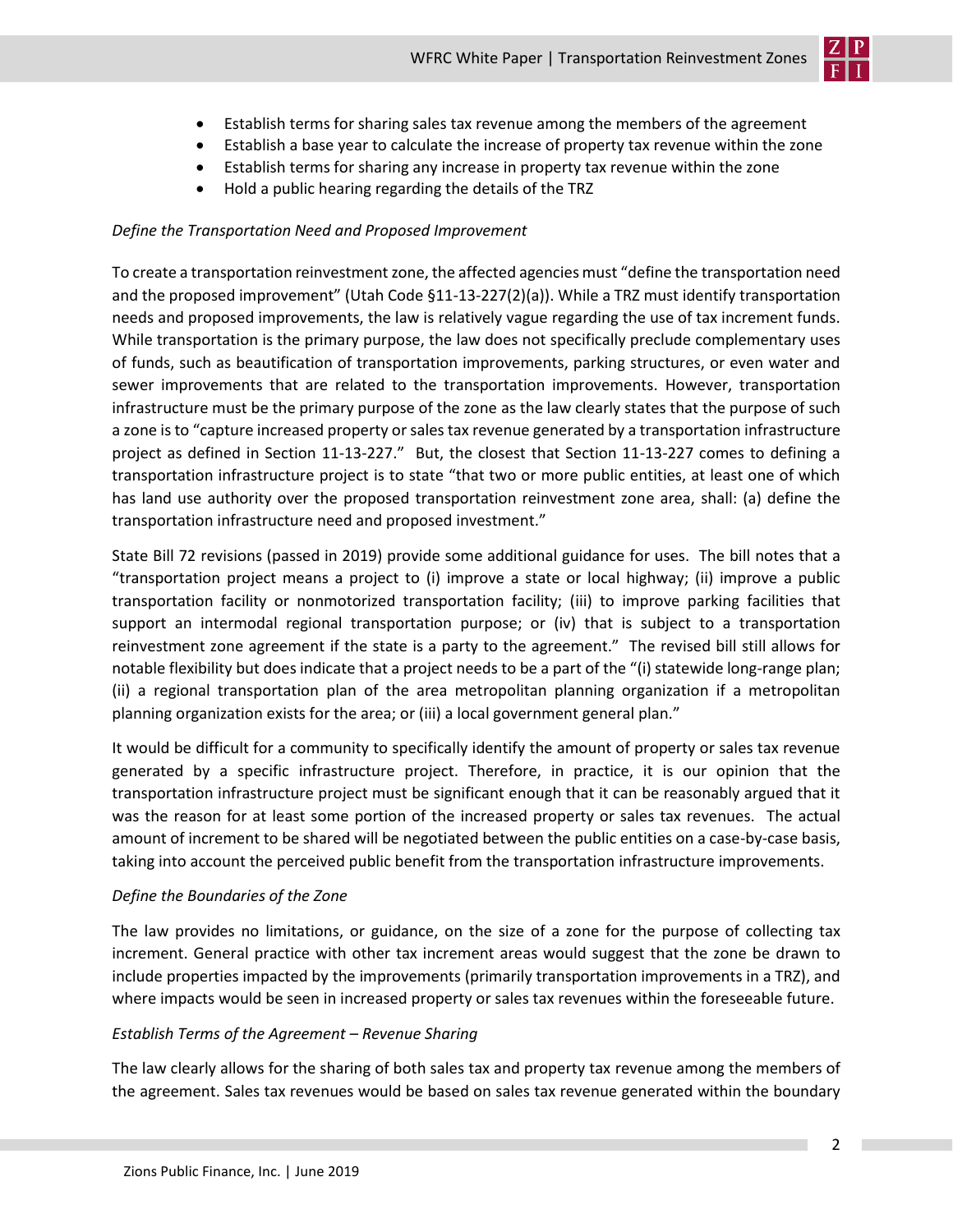

- Establish terms for sharing sales tax revenue among the members of the agreement
- Establish a base year to calculate the increase of property tax revenue within the zone
- Establish terms for sharing any increase in property tax revenue within the zone
- Hold a public hearing regarding the details of the TRZ

# *Define the Transportation Need and Proposed Improvement*

To create a transportation reinvestment zone, the affected agencies must "define the transportation need and the proposed improvement" (Utah Code §11-13-227(2)(a)). While a TRZ must identify transportation needs and proposed improvements, the law is relatively vague regarding the use of tax increment funds. While transportation is the primary purpose, the law does not specifically preclude complementary uses of funds, such as beautification of transportation improvements, parking structures, or even water and sewer improvements that are related to the transportation improvements. However, transportation infrastructure must be the primary purpose of the zone as the law clearly states that the purpose of such a zone is to "capture increased property or sales tax revenue generated by a transportation infrastructure project as defined in Section 11-13-227." But, the closest that Section 11-13-227 comes to defining a transportation infrastructure project is to state "that two or more public entities, at least one of which has land use authority over the proposed transportation reinvestment zone area, shall: (a) define the transportation infrastructure need and proposed investment."

State Bill 72 revisions (passed in 2019) provide some additional guidance for uses. The bill notes that a "transportation project means a project to (i) improve a state or local highway; (ii) improve a public transportation facility or nonmotorized transportation facility; (iii) to improve parking facilities that support an intermodal regional transportation purpose; or (iv) that is subject to a transportation reinvestment zone agreement if the state is a party to the agreement." The revised bill still allows for notable flexibility but does indicate that a project needs to be a part of the "(i) statewide long-range plan; (ii) a regional transportation plan of the area metropolitan planning organization if a metropolitan planning organization exists for the area; or (iii) a local government general plan."

It would be difficult for a community to specifically identify the amount of property or sales tax revenue generated by a specific infrastructure project. Therefore, in practice, it is our opinion that the transportation infrastructure project must be significant enough that it can be reasonably argued that it was the reason for at least some portion of the increased property or sales tax revenues. The actual amount of increment to be shared will be negotiated between the public entities on a case-by-case basis, taking into account the perceived public benefit from the transportation infrastructure improvements.

# *Define the Boundaries of the Zone*

The law provides no limitations, or guidance, on the size of a zone for the purpose of collecting tax increment. General practice with other tax increment areas would suggest that the zone be drawn to include properties impacted by the improvements (primarily transportation improvements in a TRZ), and where impacts would be seen in increased property or sales tax revenues within the foreseeable future.

# *Establish Terms of the Agreement – Revenue Sharing*

The law clearly allows for the sharing of both sales tax and property tax revenue among the members of the agreement. Sales tax revenues would be based on sales tax revenue generated within the boundary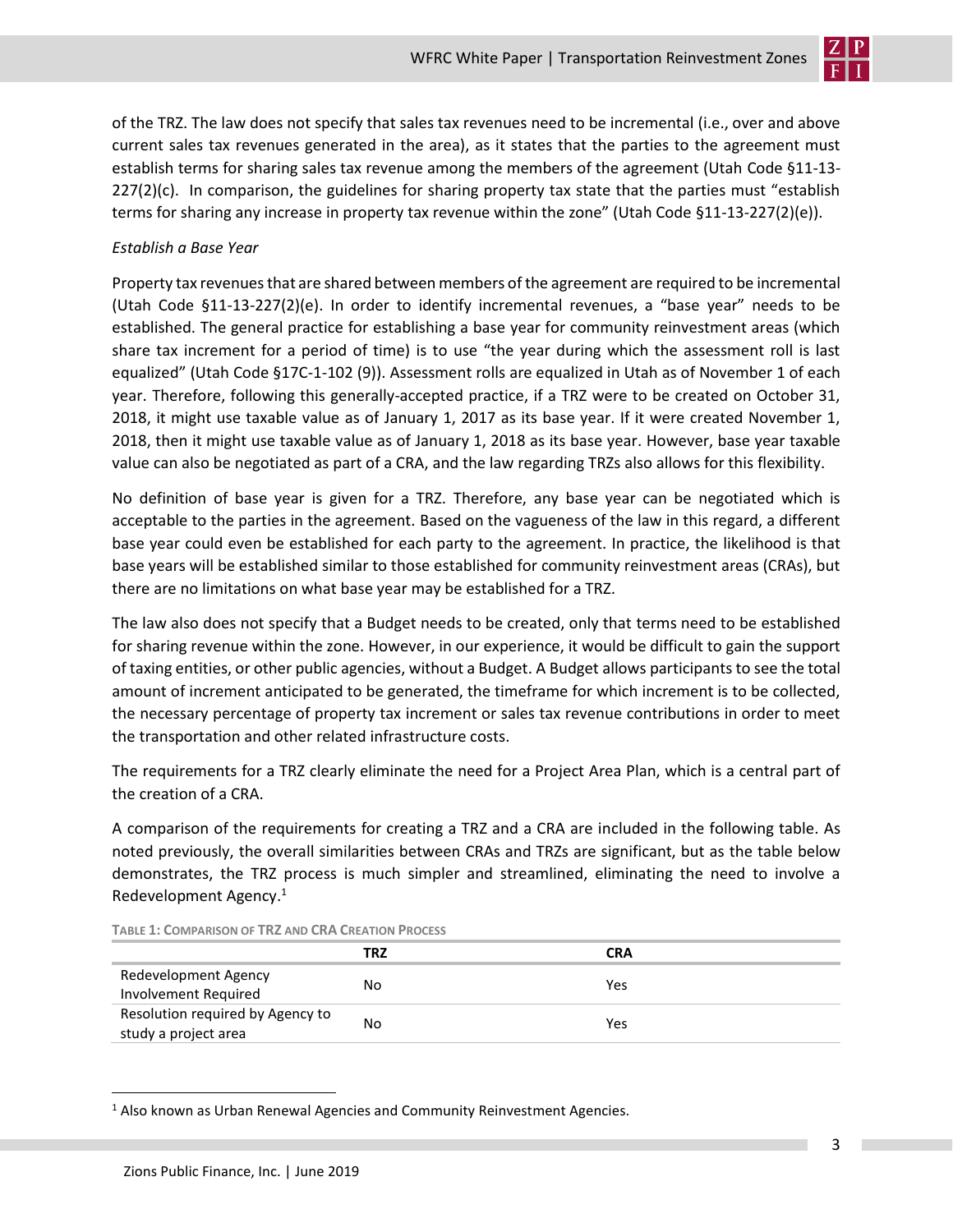

of the TRZ. The law does not specify that sales tax revenues need to be incremental (i.e., over and above current sales tax revenues generated in the area), as it states that the parties to the agreement must establish terms for sharing sales tax revenue among the members of the agreement (Utah Code §11-13-  $227(2)(c)$ . In comparison, the guidelines for sharing property tax state that the parties must "establish terms for sharing any increase in property tax revenue within the zone" (Utah Code §11-13-227(2)(e)).

# *Establish a Base Year*

Property tax revenues that are shared between members of the agreement are required to be incremental (Utah Code §11-13-227(2)(e). In order to identify incremental revenues, a "base year" needs to be established. The general practice for establishing a base year for community reinvestment areas (which share tax increment for a period of time) is to use "the year during which the assessment roll is last equalized" (Utah Code §17C-1-102 (9)). Assessment rolls are equalized in Utah as of November 1 of each year. Therefore, following this generally-accepted practice, if a TRZ were to be created on October 31, 2018, it might use taxable value as of January 1, 2017 as its base year. If it were created November 1, 2018, then it might use taxable value as of January 1, 2018 as its base year. However, base year taxable value can also be negotiated as part of a CRA, and the law regarding TRZs also allows for this flexibility.

No definition of base year is given for a TRZ. Therefore, any base year can be negotiated which is acceptable to the parties in the agreement. Based on the vagueness of the law in this regard, a different base year could even be established for each party to the agreement. In practice, the likelihood is that base years will be established similar to those established for community reinvestment areas (CRAs), but there are no limitations on what base year may be established for a TRZ.

The law also does not specify that a Budget needs to be created, only that terms need to be established for sharing revenue within the zone. However, in our experience, it would be difficult to gain the support of taxing entities, or other public agencies, without a Budget. A Budget allows participants to see the total amount of increment anticipated to be generated, the timeframe for which increment is to be collected, the necessary percentage of property tax increment or sales tax revenue contributions in order to meet the transportation and other related infrastructure costs.

The requirements for a TRZ clearly eliminate the need for a Project Area Plan, which is a central part of the creation of a CRA.

A comparison of the requirements for creating a TRZ and a CRA are included in the following table. As noted previously, the overall similarities between CRAs and TRZs are significant, but as the table below demonstrates, the TRZ process is much simpler and streamlined, eliminating the need to involve a Redevelopment Agency.<sup>1</sup>

|                                                          | <b>TRZ</b> | <b>CRA</b> |
|----------------------------------------------------------|------------|------------|
| Redevelopment Agency<br><b>Involvement Required</b>      | No         | Yes        |
| Resolution required by Agency to<br>study a project area | No         | Yes        |

**TABLE 1: COMPARISON OF TRZ AND CRA CREATION PROCESS**

 $\overline{\phantom{a}}$ 

<sup>&</sup>lt;sup>1</sup> Also known as Urban Renewal Agencies and Community Reinvestment Agencies.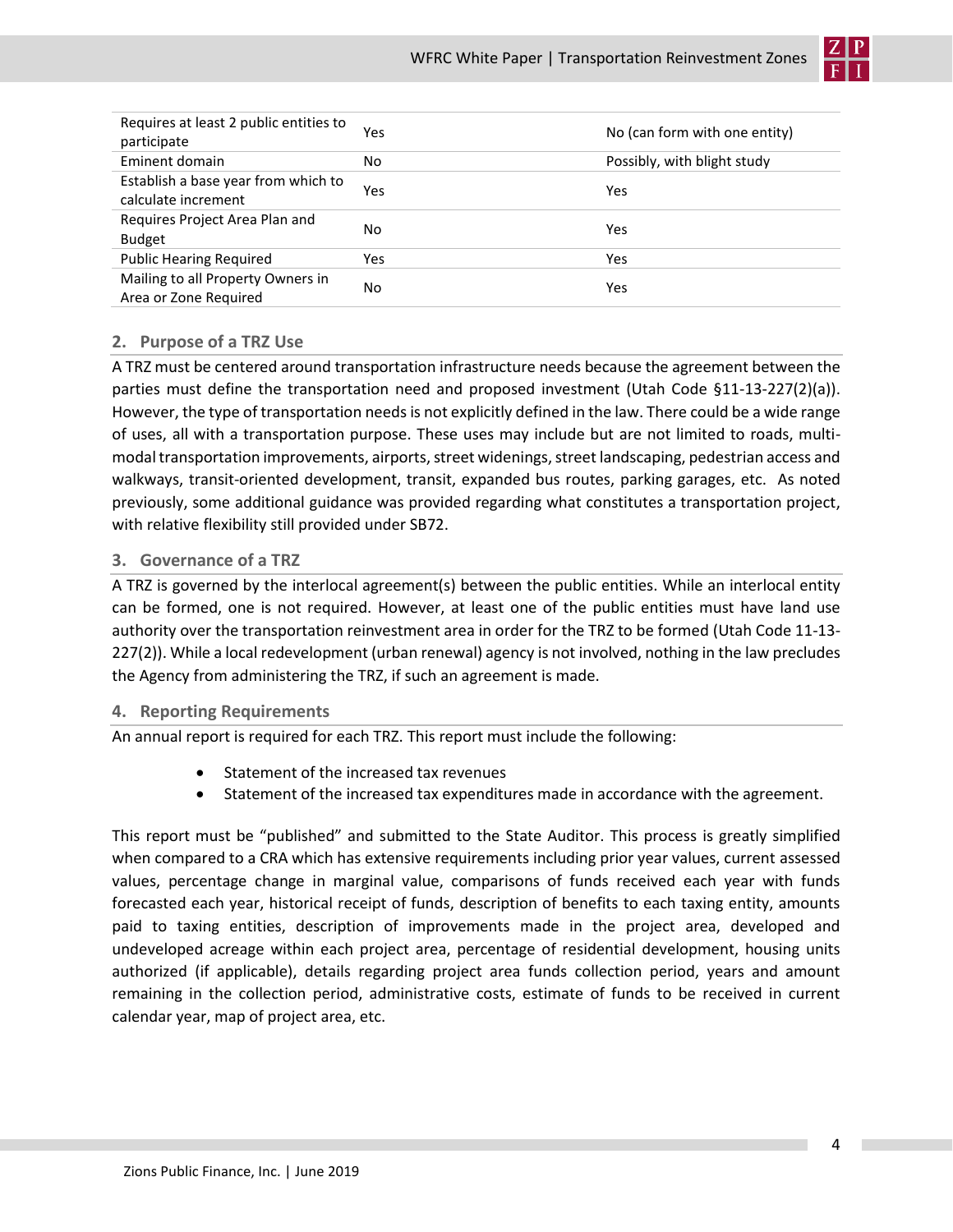

| Requires at least 2 public entities to<br>participate      | Yes | No (can form with one entity) |
|------------------------------------------------------------|-----|-------------------------------|
| Eminent domain                                             | No  | Possibly, with blight study   |
| Establish a base year from which to<br>calculate increment | Yes | Yes                           |
| Requires Project Area Plan and<br><b>Budget</b>            | No  | Yes                           |
| <b>Public Hearing Required</b>                             | Yes | Yes                           |
| Mailing to all Property Owners in<br>Area or Zone Required | No  | Yes                           |

### **2. Purpose of a TRZ Use**

A TRZ must be centered around transportation infrastructure needs because the agreement between the parties must define the transportation need and proposed investment (Utah Code §11-13-227(2)(a)). However, the type of transportation needs is not explicitly defined in the law. There could be a wide range of uses, all with a transportation purpose. These uses may include but are not limited to roads, multimodal transportation improvements, airports, street widenings, street landscaping, pedestrian access and walkways, transit-oriented development, transit, expanded bus routes, parking garages, etc. As noted previously, some additional guidance was provided regarding what constitutes a transportation project, with relative flexibility still provided under SB72.

#### **3. Governance of a TRZ**

A TRZ is governed by the interlocal agreement(s) between the public entities. While an interlocal entity can be formed, one is not required. However, at least one of the public entities must have land use authority over the transportation reinvestment area in order for the TRZ to be formed (Utah Code 11-13- 227(2)). While a local redevelopment (urban renewal) agency is not involved, nothing in the law precludes the Agency from administering the TRZ, if such an agreement is made.

#### **4. Reporting Requirements**

An annual report is required for each TRZ. This report must include the following:

- Statement of the increased tax revenues
- Statement of the increased tax expenditures made in accordance with the agreement.

This report must be "published" and submitted to the State Auditor. This process is greatly simplified when compared to a CRA which has extensive requirements including prior year values, current assessed values, percentage change in marginal value, comparisons of funds received each year with funds forecasted each year, historical receipt of funds, description of benefits to each taxing entity, amounts paid to taxing entities, description of improvements made in the project area, developed and undeveloped acreage within each project area, percentage of residential development, housing units authorized (if applicable), details regarding project area funds collection period, years and amount remaining in the collection period, administrative costs, estimate of funds to be received in current calendar year, map of project area, etc.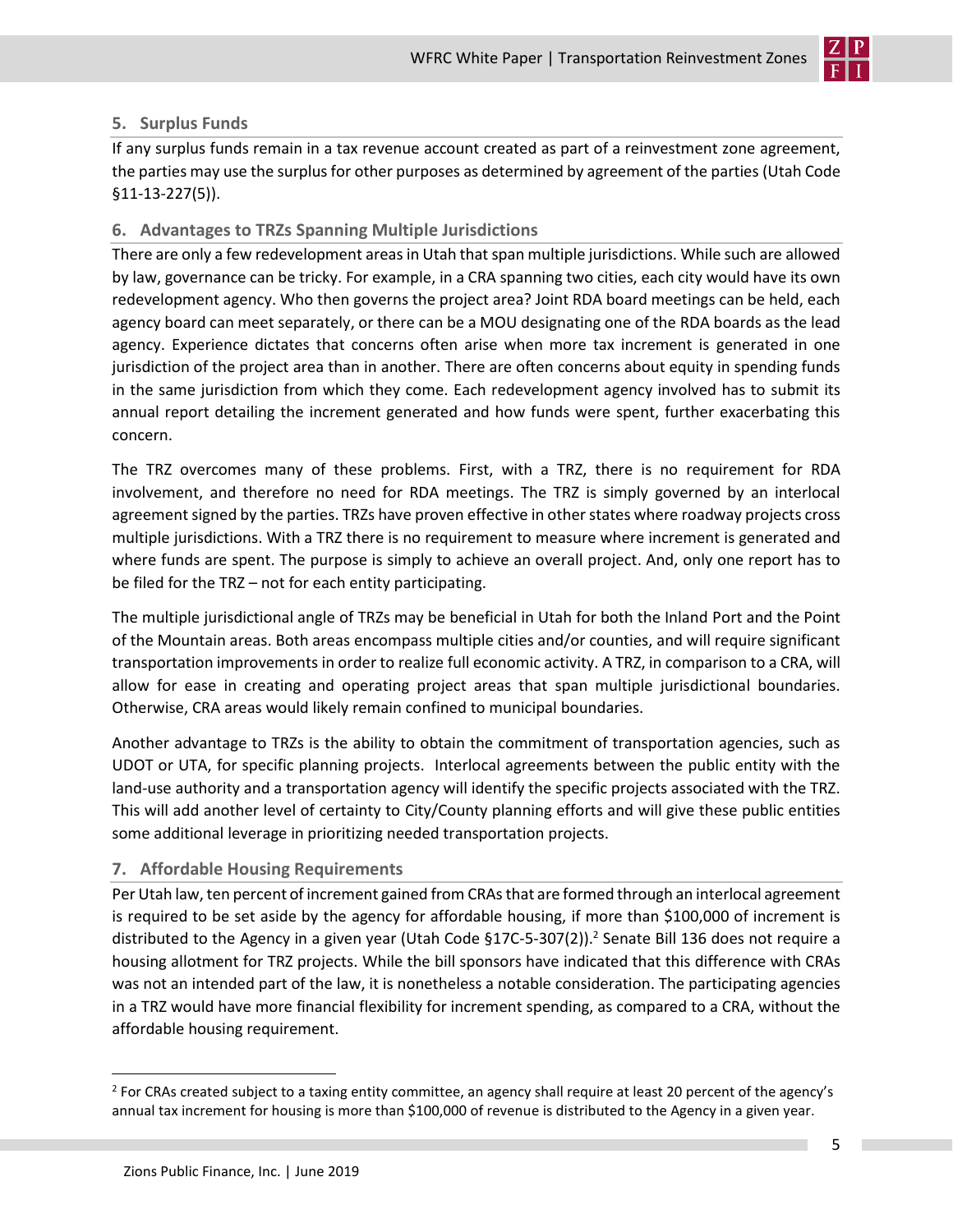

### **5. Surplus Funds**

If any surplus funds remain in a tax revenue account created as part of a reinvestment zone agreement, the parties may use the surplus for other purposes as determined by agreement of the parties (Utah Code §11-13-227(5)).

## **6. Advantages to TRZs Spanning Multiple Jurisdictions**

There are only a few redevelopment areas in Utah that span multiple jurisdictions. While such are allowed by law, governance can be tricky. For example, in a CRA spanning two cities, each city would have its own redevelopment agency. Who then governs the project area? Joint RDA board meetings can be held, each agency board can meet separately, or there can be a MOU designating one of the RDA boards as the lead agency. Experience dictates that concerns often arise when more tax increment is generated in one jurisdiction of the project area than in another. There are often concerns about equity in spending funds in the same jurisdiction from which they come. Each redevelopment agency involved has to submit its annual report detailing the increment generated and how funds were spent, further exacerbating this concern.

The TRZ overcomes many of these problems. First, with a TRZ, there is no requirement for RDA involvement, and therefore no need for RDA meetings. The TRZ is simply governed by an interlocal agreement signed by the parties. TRZs have proven effective in other states where roadway projects cross multiple jurisdictions. With a TRZ there is no requirement to measure where increment is generated and where funds are spent. The purpose is simply to achieve an overall project. And, only one report has to be filed for the TRZ – not for each entity participating.

The multiple jurisdictional angle of TRZs may be beneficial in Utah for both the Inland Port and the Point of the Mountain areas. Both areas encompass multiple cities and/or counties, and will require significant transportation improvements in order to realize full economic activity. A TRZ, in comparison to a CRA, will allow for ease in creating and operating project areas that span multiple jurisdictional boundaries. Otherwise, CRA areas would likely remain confined to municipal boundaries.

Another advantage to TRZs is the ability to obtain the commitment of transportation agencies, such as UDOT or UTA, for specific planning projects. Interlocal agreements between the public entity with the land-use authority and a transportation agency will identify the specific projects associated with the TRZ. This will add another level of certainty to City/County planning efforts and will give these public entities some additional leverage in prioritizing needed transportation projects.

# **7. Affordable Housing Requirements**

Per Utah law, ten percent of increment gained from CRAsthat are formed through an interlocal agreement is required to be set aside by the agency for affordable housing, if more than \$100,000 of increment is distributed to the Agency in a given year (Utah Code §17C-5-307(2)). 2 Senate Bill 136 does not require a housing allotment for TRZ projects. While the bill sponsors have indicated that this difference with CRAs was not an intended part of the law, it is nonetheless a notable consideration. The participating agencies in a TRZ would have more financial flexibility for increment spending, as compared to a CRA, without the affordable housing requirement.

 $\overline{\phantom{a}}$ 

<sup>&</sup>lt;sup>2</sup> For CRAs created subject to a taxing entity committee, an agency shall require at least 20 percent of the agency's annual tax increment for housing is more than \$100,000 of revenue is distributed to the Agency in a given year.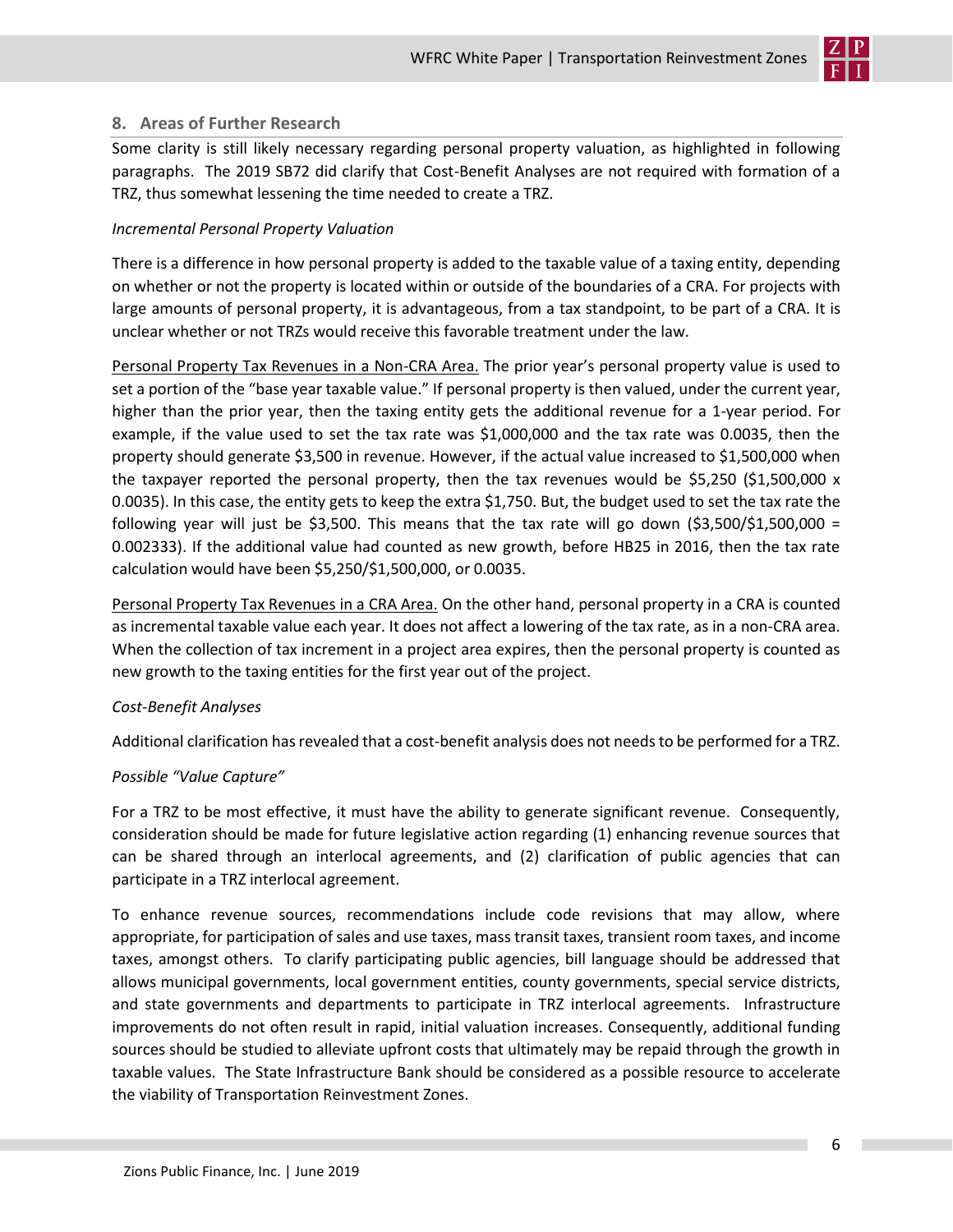

# **8. Areas of Further Research**

Some clarity is still likely necessary regarding personal property valuation, as highlighted in following paragraphs. The 2019 SB72 did clarify that Cost-Benefit Analyses are not required with formation of a TRZ, thus somewhat lessening the time needed to create a TRZ.

### *Incremental Personal Property Valuation*

There is a difference in how personal property is added to the taxable value of a taxing entity, depending on whether or not the property is located within or outside of the boundaries of a CRA. For projects with large amounts of personal property, it is advantageous, from a tax standpoint, to be part of a CRA. It is unclear whether or not TRZs would receive this favorable treatment under the law.

Personal Property Tax Revenues in a Non-CRA Area. The prior year's personal property value is used to set a portion of the "base year taxable value." If personal property is then valued, under the current year, higher than the prior year, then the taxing entity gets the additional revenue for a 1-year period. For example, if the value used to set the tax rate was \$1,000,000 and the tax rate was 0.0035, then the property should generate \$3,500 in revenue. However, if the actual value increased to \$1,500,000 when the taxpayer reported the personal property, then the tax revenues would be \$5,250 (\$1,500,000  $\times$ 0.0035). In this case, the entity gets to keep the extra \$1,750. But, the budget used to set the tax rate the following year will just be \$3,500. This means that the tax rate will go down (\$3,500/\$1,500,000 = 0.002333). If the additional value had counted as new growth, before HB25 in 2016, then the tax rate calculation would have been \$5,250/\$1,500,000, or 0.0035.

Personal Property Tax Revenues in a CRA Area. On the other hand, personal property in a CRA is counted as incremental taxable value each year. It does not affect a lowering of the tax rate, as in a non-CRA area. When the collection of tax increment in a project area expires, then the personal property is counted as new growth to the taxing entities for the first year out of the project.

#### *Cost-Benefit Analyses*

Additional clarification has revealed that a cost-benefit analysis does not needs to be performed for a TRZ.

#### *Possible "Value Capture"*

For a TRZ to be most effective, it must have the ability to generate significant revenue. Consequently, consideration should be made for future legislative action regarding (1) enhancing revenue sources that can be shared through an interlocal agreements, and (2) clarification of public agencies that can participate in a TRZ interlocal agreement.

To enhance revenue sources, recommendations include code revisions that may allow, where appropriate, for participation of sales and use taxes, mass transit taxes, transient room taxes, and income taxes, amongst others. To clarify participating public agencies, bill language should be addressed that allows municipal governments, local government entities, county governments, special service districts, and state governments and departments to participate in TRZ interlocal agreements. Infrastructure improvements do not often result in rapid, initial valuation increases. Consequently, additional funding sources should be studied to alleviate upfront costs that ultimately may be repaid through the growth in taxable values. The State Infrastructure Bank should be considered as a possible resource to accelerate the viability of Transportation Reinvestment Zones.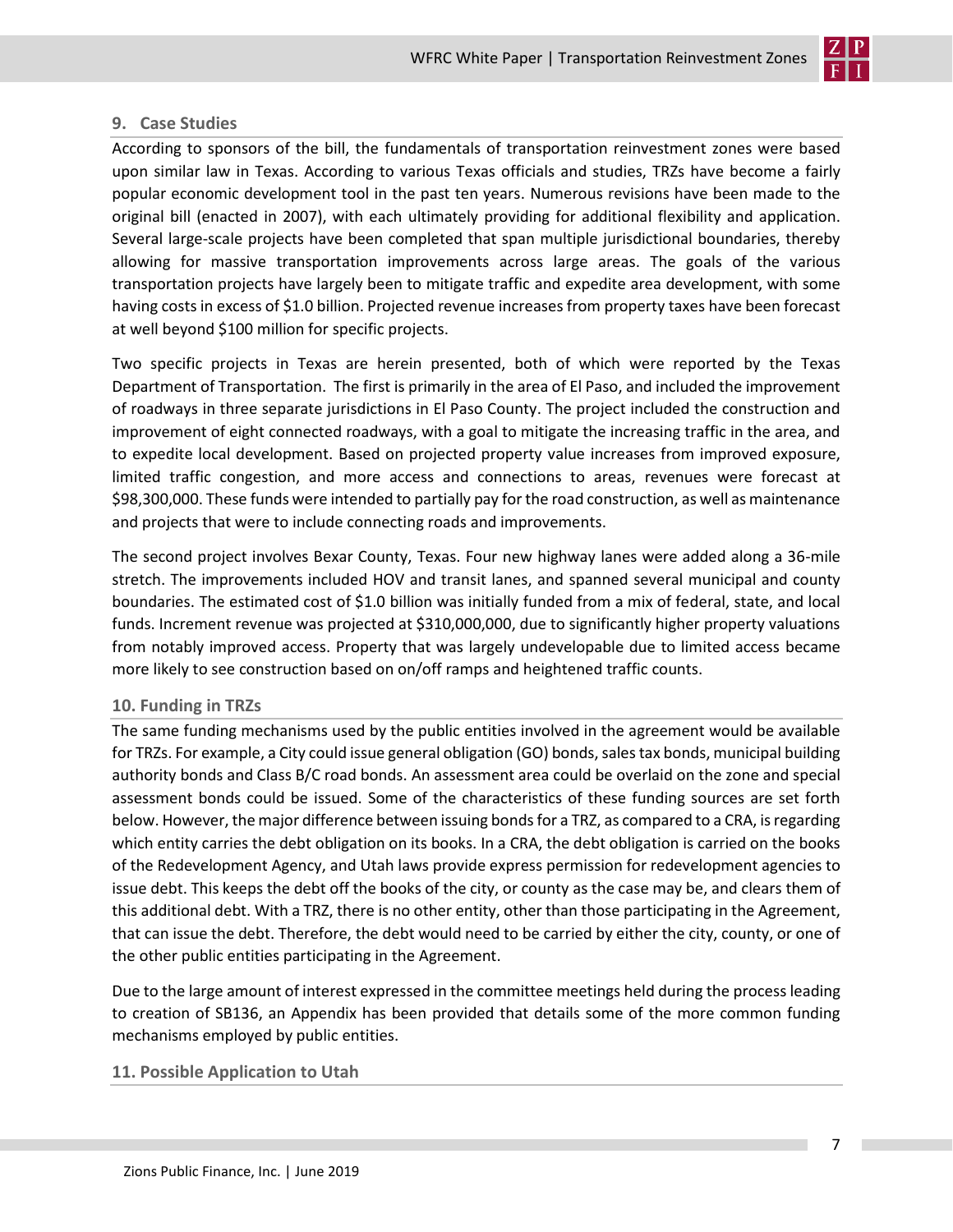

### **9. Case Studies**

According to sponsors of the bill, the fundamentals of transportation reinvestment zones were based upon similar law in Texas. According to various Texas officials and studies, TRZs have become a fairly popular economic development tool in the past ten years. Numerous revisions have been made to the original bill (enacted in 2007), with each ultimately providing for additional flexibility and application. Several large-scale projects have been completed that span multiple jurisdictional boundaries, thereby allowing for massive transportation improvements across large areas. The goals of the various transportation projects have largely been to mitigate traffic and expedite area development, with some having costs in excess of \$1.0 billion. Projected revenue increases from property taxes have been forecast at well beyond \$100 million for specific projects.

Two specific projects in Texas are herein presented, both of which were reported by the Texas Department of Transportation. The first is primarily in the area of El Paso, and included the improvement of roadways in three separate jurisdictions in El Paso County. The project included the construction and improvement of eight connected roadways, with a goal to mitigate the increasing traffic in the area, and to expedite local development. Based on projected property value increases from improved exposure, limited traffic congestion, and more access and connections to areas, revenues were forecast at \$98,300,000. These funds were intended to partially pay for the road construction, as well as maintenance and projects that were to include connecting roads and improvements.

The second project involves Bexar County, Texas. Four new highway lanes were added along a 36-mile stretch. The improvements included HOV and transit lanes, and spanned several municipal and county boundaries. The estimated cost of \$1.0 billion was initially funded from a mix of federal, state, and local funds. Increment revenue was projected at \$310,000,000, due to significantly higher property valuations from notably improved access. Property that was largely undevelopable due to limited access became more likely to see construction based on on/off ramps and heightened traffic counts.

#### **10. Funding in TRZs**

The same funding mechanisms used by the public entities involved in the agreement would be available for TRZs. For example, a City could issue general obligation (GO) bonds, sales tax bonds, municipal building authority bonds and Class B/C road bonds. An assessment area could be overlaid on the zone and special assessment bonds could be issued. Some of the characteristics of these funding sources are set forth below. However, the major difference between issuing bonds for a TRZ, as compared to a CRA, is regarding which entity carries the debt obligation on its books. In a CRA, the debt obligation is carried on the books of the Redevelopment Agency, and Utah laws provide express permission for redevelopment agencies to issue debt. This keeps the debt off the books of the city, or county as the case may be, and clears them of this additional debt. With a TRZ, there is no other entity, other than those participating in the Agreement, that can issue the debt. Therefore, the debt would need to be carried by either the city, county, or one of the other public entities participating in the Agreement.

Due to the large amount of interest expressed in the committee meetings held during the process leading to creation of SB136, an Appendix has been provided that details some of the more common funding mechanisms employed by public entities.

# **11. Possible Application to Utah**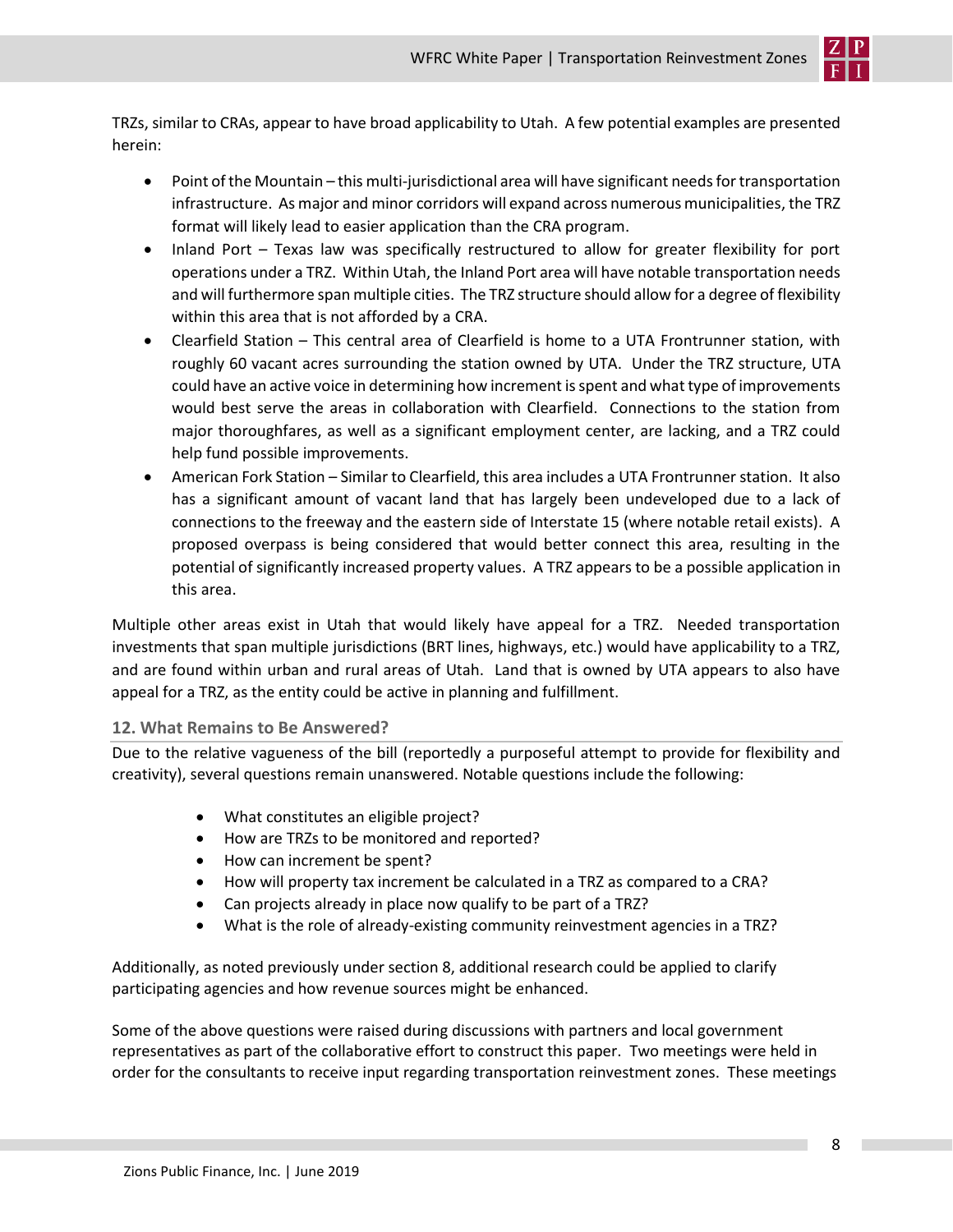

TRZs, similar to CRAs, appear to have broad applicability to Utah. A few potential examples are presented herein:

- Point of the Mountain this multi-jurisdictional area will have significant needs for transportation infrastructure. As major and minor corridors will expand across numerous municipalities, the TRZ format will likely lead to easier application than the CRA program.
- Inland Port Texas law was specifically restructured to allow for greater flexibility for port operations under a TRZ. Within Utah, the Inland Port area will have notable transportation needs and will furthermore span multiple cities. The TRZ structure should allow for a degree of flexibility within this area that is not afforded by a CRA.
- Clearfield Station This central area of Clearfield is home to a UTA Frontrunner station, with roughly 60 vacant acres surrounding the station owned by UTA. Under the TRZ structure, UTA could have an active voice in determining how increment is spent and what type of improvements would best serve the areas in collaboration with Clearfield. Connections to the station from major thoroughfares, as well as a significant employment center, are lacking, and a TRZ could help fund possible improvements.
- American Fork Station Similar to Clearfield, this area includes a UTA Frontrunner station. It also has a significant amount of vacant land that has largely been undeveloped due to a lack of connections to the freeway and the eastern side of Interstate 15 (where notable retail exists). A proposed overpass is being considered that would better connect this area, resulting in the potential of significantly increased property values. A TRZ appears to be a possible application in this area.

Multiple other areas exist in Utah that would likely have appeal for a TRZ. Needed transportation investments that span multiple jurisdictions (BRT lines, highways, etc.) would have applicability to a TRZ, and are found within urban and rural areas of Utah. Land that is owned by UTA appears to also have appeal for a TRZ, as the entity could be active in planning and fulfillment.

# **12. What Remains to Be Answered?**

Due to the relative vagueness of the bill (reportedly a purposeful attempt to provide for flexibility and creativity), several questions remain unanswered. Notable questions include the following:

- What constitutes an eligible project?
- How are TRZs to be monitored and reported?
- How can increment be spent?
- How will property tax increment be calculated in a TRZ as compared to a CRA?
- Can projects already in place now qualify to be part of a TRZ?
- What is the role of already-existing community reinvestment agencies in a TRZ?

Additionally, as noted previously under section 8, additional research could be applied to clarify participating agencies and how revenue sources might be enhanced.

Some of the above questions were raised during discussions with partners and local government representatives as part of the collaborative effort to construct this paper. Two meetings were held in order for the consultants to receive input regarding transportation reinvestment zones. These meetings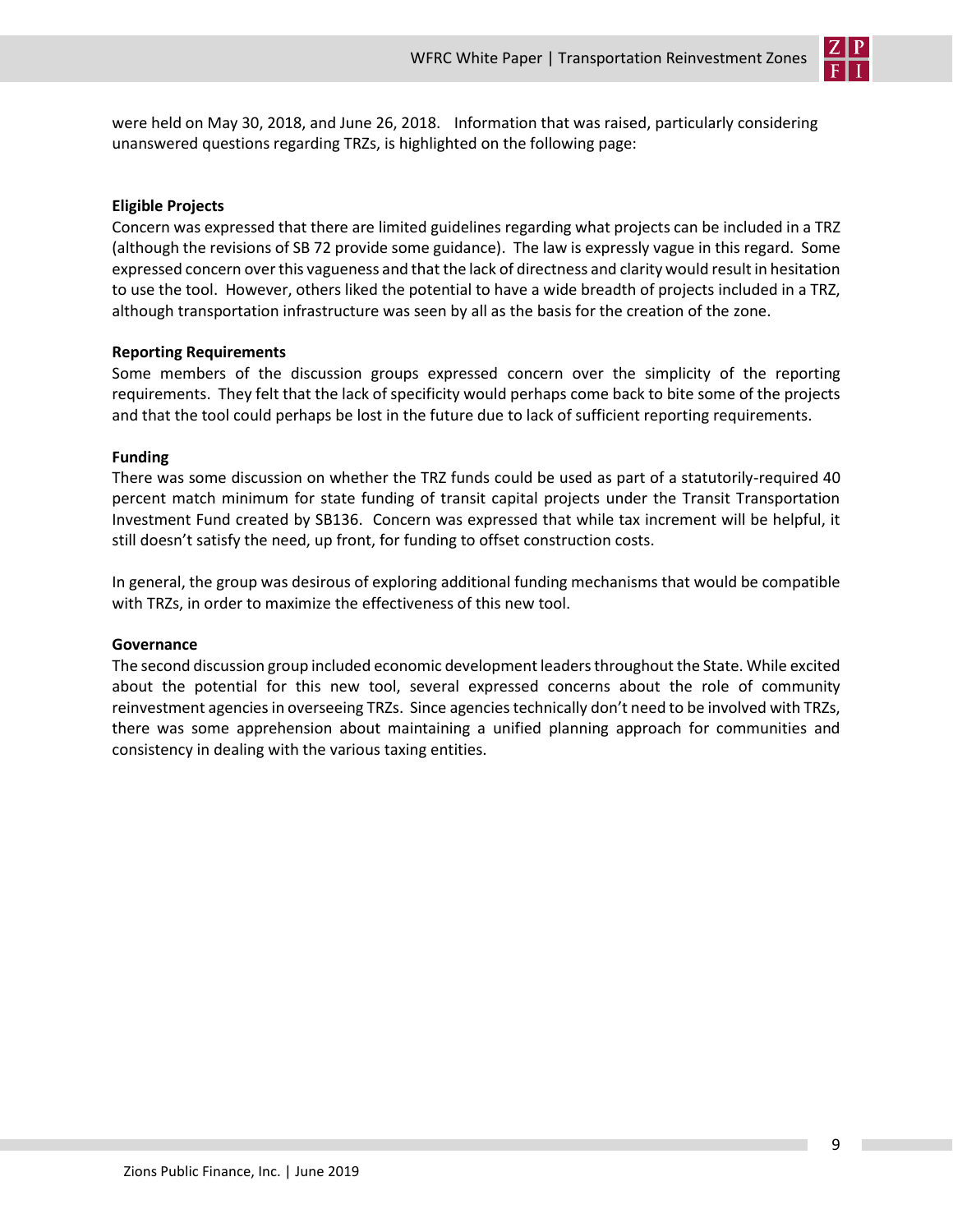

were held on May 30, 2018, and June 26, 2018. Information that was raised, particularly considering unanswered questions regarding TRZs, is highlighted on the following page:

### **Eligible Projects**

Concern was expressed that there are limited guidelines regarding what projects can be included in a TRZ (although the revisions of SB 72 provide some guidance). The law is expressly vague in this regard. Some expressed concern over this vagueness and that the lack of directness and clarity would result in hesitation to use the tool. However, others liked the potential to have a wide breadth of projects included in a TRZ, although transportation infrastructure was seen by all as the basis for the creation of the zone.

#### **Reporting Requirements**

Some members of the discussion groups expressed concern over the simplicity of the reporting requirements. They felt that the lack of specificity would perhaps come back to bite some of the projects and that the tool could perhaps be lost in the future due to lack of sufficient reporting requirements.

### **Funding**

There was some discussion on whether the TRZ funds could be used as part of a statutorily-required 40 percent match minimum for state funding of transit capital projects under the Transit Transportation Investment Fund created by SB136. Concern was expressed that while tax increment will be helpful, it still doesn't satisfy the need, up front, for funding to offset construction costs.

In general, the group was desirous of exploring additional funding mechanisms that would be compatible with TRZs, in order to maximize the effectiveness of this new tool.

#### **Governance**

The second discussion group included economic development leaders throughout the State. While excited about the potential for this new tool, several expressed concerns about the role of community reinvestment agencies in overseeing TRZs. Since agencies technically don't need to be involved with TRZs, there was some apprehension about maintaining a unified planning approach for communities and consistency in dealing with the various taxing entities.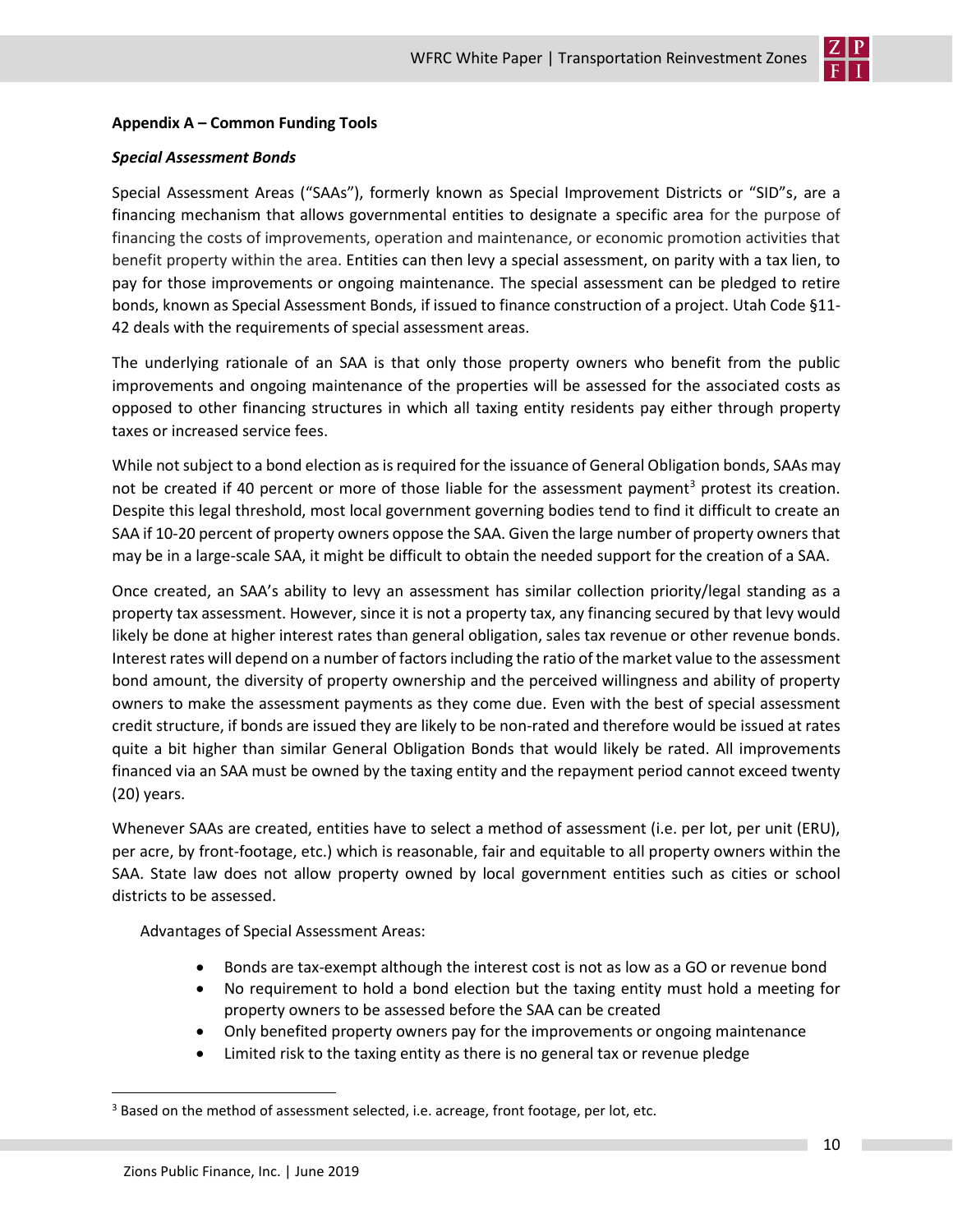

### **Appendix A – Common Funding Tools**

#### *Special Assessment Bonds*

Special Assessment Areas ("SAAs"), formerly known as Special Improvement Districts or "SID"s, are a financing mechanism that allows governmental entities to designate a specific area for the purpose of financing the costs of improvements, operation and maintenance, or economic promotion activities that benefit property within the area. Entities can then levy a special assessment, on parity with a tax lien, to pay for those improvements or ongoing maintenance. The special assessment can be pledged to retire bonds, known as Special Assessment Bonds, if issued to finance construction of a project. Utah Code §11- 42 deals with the requirements of special assessment areas.

The underlying rationale of an SAA is that only those property owners who benefit from the public improvements and ongoing maintenance of the properties will be assessed for the associated costs as opposed to other financing structures in which all taxing entity residents pay either through property taxes or increased service fees.

While not subject to a bond election as is required for the issuance of General Obligation bonds, SAAs may not be created if 40 percent or more of those liable for the assessment payment<sup>3</sup> protest its creation. Despite this legal threshold, most local government governing bodies tend to find it difficult to create an SAA if 10-20 percent of property owners oppose the SAA. Given the large number of property owners that may be in a large-scale SAA, it might be difficult to obtain the needed support for the creation of a SAA.

Once created, an SAA's ability to levy an assessment has similar collection priority/legal standing as a property tax assessment. However, since it is not a property tax, any financing secured by that levy would likely be done at higher interest rates than general obligation, sales tax revenue or other revenue bonds. Interest rates will depend on a number of factors including the ratio of the market value to the assessment bond amount, the diversity of property ownership and the perceived willingness and ability of property owners to make the assessment payments as they come due. Even with the best of special assessment credit structure, if bonds are issued they are likely to be non-rated and therefore would be issued at rates quite a bit higher than similar General Obligation Bonds that would likely be rated. All improvements financed via an SAA must be owned by the taxing entity and the repayment period cannot exceed twenty (20) years.

Whenever SAAs are created, entities have to select a method of assessment (i.e. per lot, per unit (ERU), per acre, by front-footage, etc.) which is reasonable, fair and equitable to all property owners within the SAA. State law does not allow property owned by local government entities such as cities or school districts to be assessed.

Advantages of Special Assessment Areas:

- Bonds are tax-exempt although the interest cost is not as low as a GO or revenue bond
- No requirement to hold a bond election but the taxing entity must hold a meeting for property owners to be assessed before the SAA can be created
- Only benefited property owners pay for the improvements or ongoing maintenance
- Limited risk to the taxing entity as there is no general tax or revenue pledge

 $\overline{\phantom{a}}$ 

<sup>&</sup>lt;sup>3</sup> Based on the method of assessment selected, i.e. acreage, front footage, per lot, etc.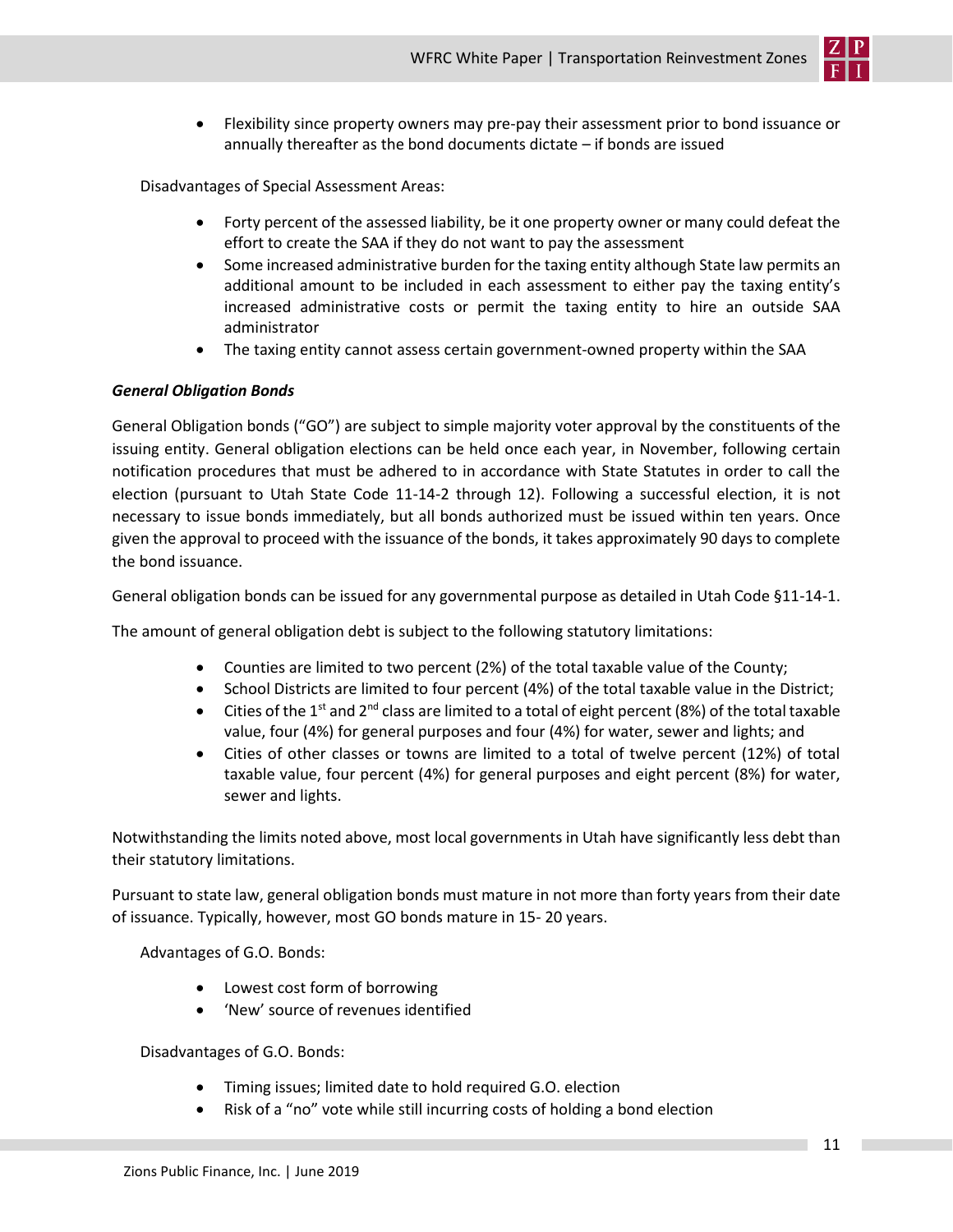

• Flexibility since property owners may pre-pay their assessment prior to bond issuance or annually thereafter as the bond documents dictate – if bonds are issued

Disadvantages of Special Assessment Areas:

- Forty percent of the assessed liability, be it one property owner or many could defeat the effort to create the SAA if they do not want to pay the assessment
- Some increased administrative burden for the taxing entity although State law permits an additional amount to be included in each assessment to either pay the taxing entity's increased administrative costs or permit the taxing entity to hire an outside SAA administrator
- The taxing entity cannot assess certain government-owned property within the SAA

### *General Obligation Bonds*

General Obligation bonds ("GO") are subject to simple majority voter approval by the constituents of the issuing entity. General obligation elections can be held once each year, in November, following certain notification procedures that must be adhered to in accordance with State Statutes in order to call the election (pursuant to Utah State Code 11-14-2 through 12). Following a successful election, it is not necessary to issue bonds immediately, but all bonds authorized must be issued within ten years. Once given the approval to proceed with the issuance of the bonds, it takes approximately 90 days to complete the bond issuance.

General obligation bonds can be issued for any governmental purpose as detailed in Utah Code §11-14-1.

The amount of general obligation debt is subject to the following statutory limitations:

- Counties are limited to two percent (2%) of the total taxable value of the County;
- School Districts are limited to four percent (4%) of the total taxable value in the District;
- Cities of the 1<sup>st</sup> and 2<sup>nd</sup> class are limited to a total of eight percent (8%) of the total taxable value, four (4%) for general purposes and four (4%) for water, sewer and lights; and
- Cities of other classes or towns are limited to a total of twelve percent (12%) of total taxable value, four percent (4%) for general purposes and eight percent (8%) for water, sewer and lights.

Notwithstanding the limits noted above, most local governments in Utah have significantly less debt than their statutory limitations.

Pursuant to state law, general obligation bonds must mature in not more than forty years from their date of issuance. Typically, however, most GO bonds mature in 15- 20 years.

Advantages of G.O. Bonds:

- Lowest cost form of borrowing
- 'New' source of revenues identified

Disadvantages of G.O. Bonds:

- Timing issues; limited date to hold required G.O. election
- Risk of a "no" vote while still incurring costs of holding a bond election